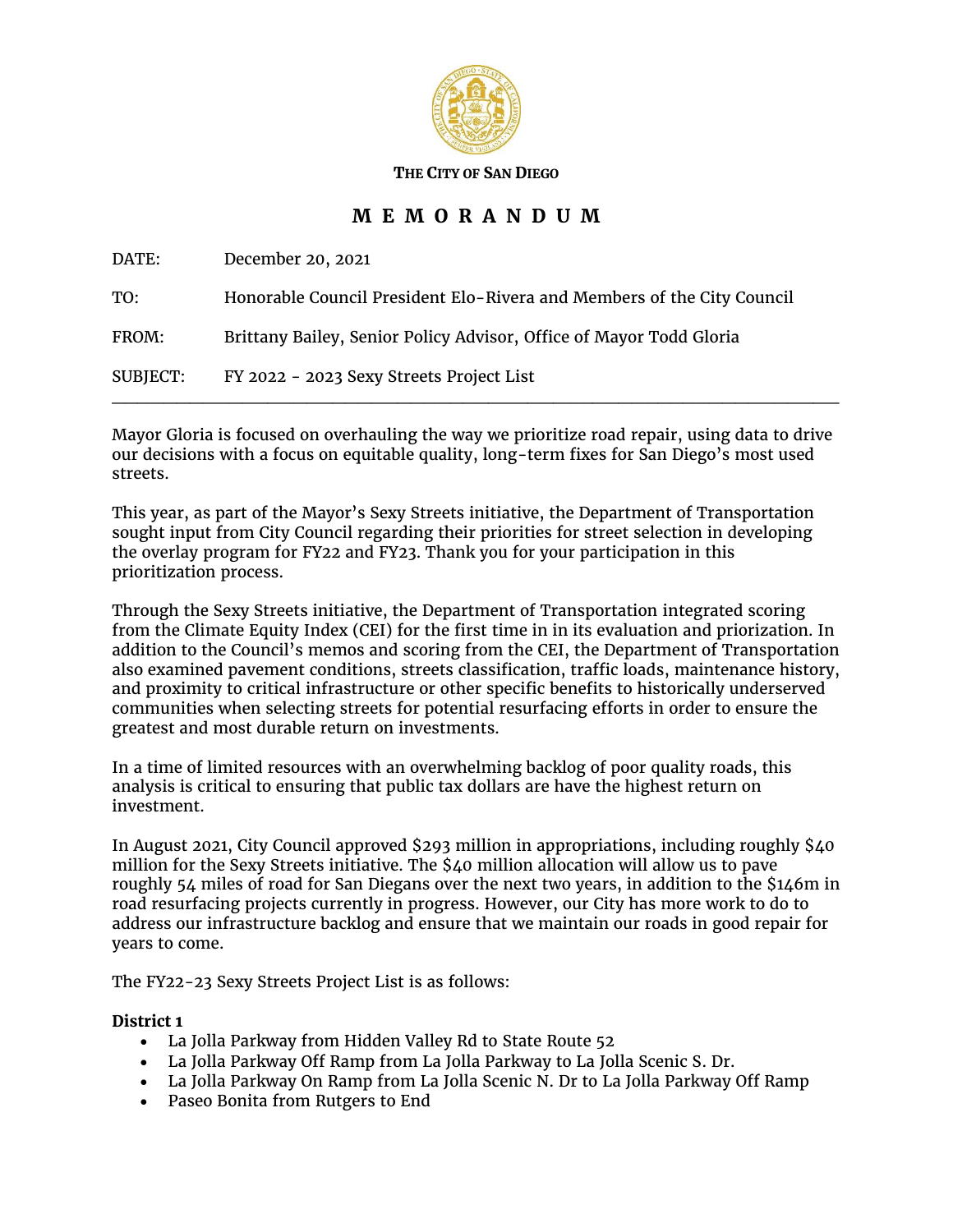

**THE CITY OF SAN DIEGO**

# **M E M O R A N D U M**

DATE: December 20, 2021

TO: Honorable Council President Elo-Rivera and Members of the City Council FROM: Brittany Bailey, Senior Policy Advisor, Office of Mayor Todd Gloria SUBJECT: FY 2022 - 2023 Sexy Streets Project List

Mayor Gloria is focused on overhauling the way we prioritize road repair, using data to drive our decisions with a focus on equitable quality, long-term fixes for San Diego's most used streets.

 $\mathcal{L}_\mathcal{L}$  , and the contribution of the contribution of the contribution of the contribution of the contribution of the contribution of the contribution of the contribution of the contribution of the contribution of

This year, as part of the Mayor's Sexy Streets initiative, the Department of Transportation sought input from City Council regarding their priorities for street selection in developing the overlay program for FY22 and FY23. Thank you for your participation in this prioritization process.

Through the Sexy Streets initiative, the Department of Transportation integrated scoring from the Climate Equity Index (CEI) for the first time in in its evaluation and priorization. In addition to the Council's memos and scoring from the CEI, the Department of Transportation also examined pavement conditions, streets classification, traffic loads, maintenance history, and proximity to critical infrastructure or other specific benefits to historically underserved communities when selecting streets for potential resurfacing efforts in order to ensure the greatest and most durable return on investments.

In a time of limited resources with an overwhelming backlog of poor quality roads, this analysis is critical to ensuring that public tax dollars are have the highest return on investment.

In August 2021, City Council approved \$293 million in appropriations, including roughly \$40 million for the Sexy Streets initiative. The \$40 million allocation will allow us to pave roughly 54 miles of road for San Diegans over the next two years, in addition to the \$146m in road resurfacing projects currently in progress. However, our City has more work to do to address our infrastructure backlog and ensure that we maintain our roads in good repair for years to come.

The FY22-23 Sexy Streets Project List is as follows:

# **District 1**

- La Jolla Parkway from Hidden Valley Rd to State Route 52
- La Jolla Parkway Off Ramp from La Jolla Parkway to La Jolla Scenic S. Dr.
- La Jolla Parkway On Ramp from La Jolla Scenic N. Dr to La Jolla Parkway Off Ramp
- Paseo Bonita from Rutgers to End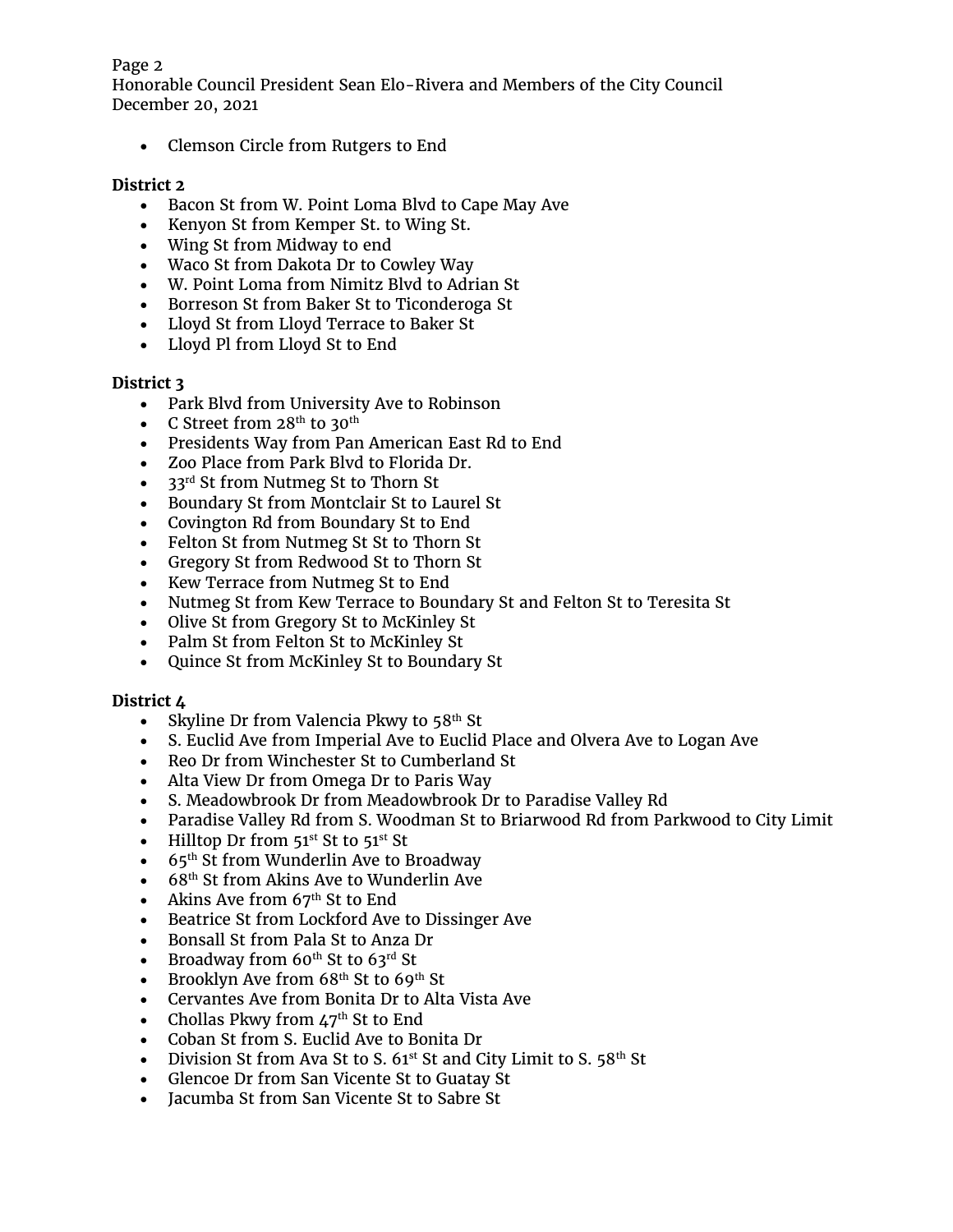#### Page 2

Honorable Council President Sean Elo-Rivera and Members of the City Council December 20, 2021

• Clemson Circle from Rutgers to End

# **District 2**

- Bacon St from W. Point Loma Blvd to Cape May Ave
- Kenyon St from Kemper St. to Wing St.
- Wing St from Midway to end
- Waco St from Dakota Dr to Cowley Way
- W. Point Loma from Nimitz Blvd to Adrian St
- Borreson St from Baker St to Ticonderoga St
- Lloyd St from Lloyd Terrace to Baker St
- Lloyd Pl from Lloyd St to End

# **District 3**

- Park Blvd from University Ave to Robinson
- $\bullet$   $\,$  C Street from 28<sup>th</sup> to 30<sup>th</sup>
- Presidents Way from Pan American East Rd to End
- Zoo Place from Park Blvd to Florida Dr.
- 33<sup>rd</sup> St from Nutmeg St to Thorn St
- Boundary St from Montclair St to Laurel St
- Covington Rd from Boundary St to End
- Felton St from Nutmeg St St to Thorn St
- Gregory St from Redwood St to Thorn St
- Kew Terrace from Nutmeg St to End
- Nutmeg St from Kew Terrace to Boundary St and Felton St to Teresita St
- Olive St from Gregory St to McKinley St
- Palm St from Felton St to McKinley St
- Quince St from McKinley St to Boundary St

# **District 4**

- Skyline Dr from Valencia Pkwy to 58 $^{\rm th}$  St
- S. Euclid Ave from Imperial Ave to Euclid Place and Olvera Ave to Logan Ave
- Reo Dr from Winchester St to Cumberland St
- Alta View Dr from Omega Dr to Paris Way
- S. Meadowbrook Dr from Meadowbrook Dr to Paradise Valley Rd
- Paradise Valley Rd from S. Woodman St to Briarwood Rd from Parkwood to City Limit
- Hilltop Dr from  $51^{st}$  St to  $51^{st}$  St
- $\bullet$  65<sup>th</sup> St from Wunderlin Ave to Broadway
- $\bullet$  68<sup>th</sup> St from Akins Ave to Wunderlin Ave
- Akins Ave from  $67<sup>th</sup>$  St to End
- Beatrice St from Lockford Ave to Dissinger Ave
- Bonsall St from Pala St to Anza Dr
- Broadway from  $60^{th}$  St to  $63^{rd}$  St
- Brooklyn Ave from  $68<sup>th</sup>$  St to  $69<sup>th</sup>$  St
- Cervantes Ave from Bonita Dr to Alta Vista Ave
- Chollas Pkwy from  $47<sup>th</sup>$  St to End
- Coban St from S. Euclid Ave to Bonita Dr
- Division St from Ava St to S.  $61^{st}$  St and City Limit to S.  $58^{th}$  St
- Glencoe Dr from San Vicente St to Guatay St
- Jacumba St from San Vicente St to Sabre St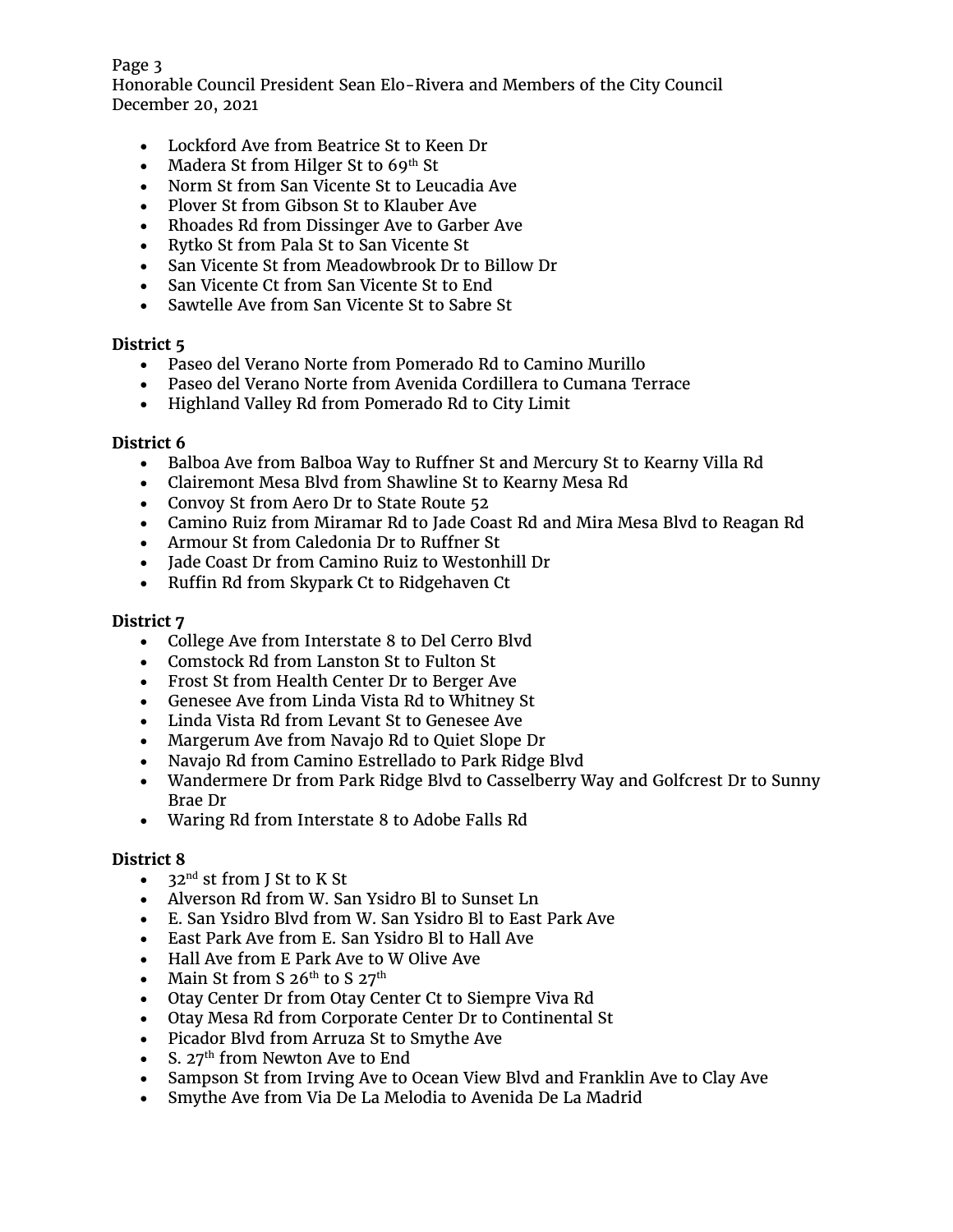#### Page 3

Honorable Council President Sean Elo-Rivera and Members of the City Council December 20, 2021

- Lockford Ave from Beatrice St to Keen Dr
- Madera St from Hilger St to  $69<sup>th</sup>$  St
- Norm St from San Vicente St to Leucadia Ave
- Plover St from Gibson St to Klauber Ave
- Rhoades Rd from Dissinger Ave to Garber Ave
- Rytko St from Pala St to San Vicente St
- San Vicente St from Meadowbrook Dr to Billow Dr
- San Vicente Ct from San Vicente St to End
- Sawtelle Ave from San Vicente St to Sabre St

# **District 5**

- Paseo del Verano Norte from Pomerado Rd to Camino Murillo
- Paseo del Verano Norte from Avenida Cordillera to Cumana Terrace
- Highland Valley Rd from Pomerado Rd to City Limit

#### **District 6**

- Balboa Ave from Balboa Way to Ruffner St and Mercury St to Kearny Villa Rd
- Clairemont Mesa Blvd from Shawline St to Kearny Mesa Rd
- Convoy St from Aero Dr to State Route 52
- Camino Ruiz from Miramar Rd to Jade Coast Rd and Mira Mesa Blvd to Reagan Rd
- Armour St from Caledonia Dr to Ruffner St
- Jade Coast Dr from Camino Ruiz to Westonhill Dr
- Ruffin Rd from Skypark Ct to Ridgehaven Ct

#### **District 7**

- College Ave from Interstate 8 to Del Cerro Blvd
- Comstock Rd from Lanston St to Fulton St
- Frost St from Health Center Dr to Berger Ave
- Genesee Ave from Linda Vista Rd to Whitney St
- Linda Vista Rd from Levant St to Genesee Ave
- Margerum Ave from Navajo Rd to Quiet Slope Dr
- Navajo Rd from Camino Estrellado to Park Ridge Blvd
- Wandermere Dr from Park Ridge Blvd to Casselberry Way and Golfcrest Dr to Sunny Brae Dr
- Waring Rd from Interstate 8 to Adobe Falls Rd

# **District 8**

- $32<sup>nd</sup>$  st from J St to K St
- Alverson Rd from W. San Ysidro Bl to Sunset Ln
- E. San Ysidro Blvd from W. San Ysidro Bl to East Park Ave
- East Park Ave from E. San Ysidro Bl to Hall Ave
- Hall Ave from E Park Ave to W Olive Ave
- Main St from S  $26<sup>th</sup>$  to S  $27<sup>th</sup>$
- Otay Center Dr from Otay Center Ct to Siempre Viva Rd
- Otay Mesa Rd from Corporate Center Dr to Continental St
- Picador Blvd from Arruza St to Smythe Ave
- S.  $27<sup>th</sup>$  from Newton Ave to End
- Sampson St from Irving Ave to Ocean View Blvd and Franklin Ave to Clay Ave
- Smythe Ave from Via De La Melodia to Avenida De La Madrid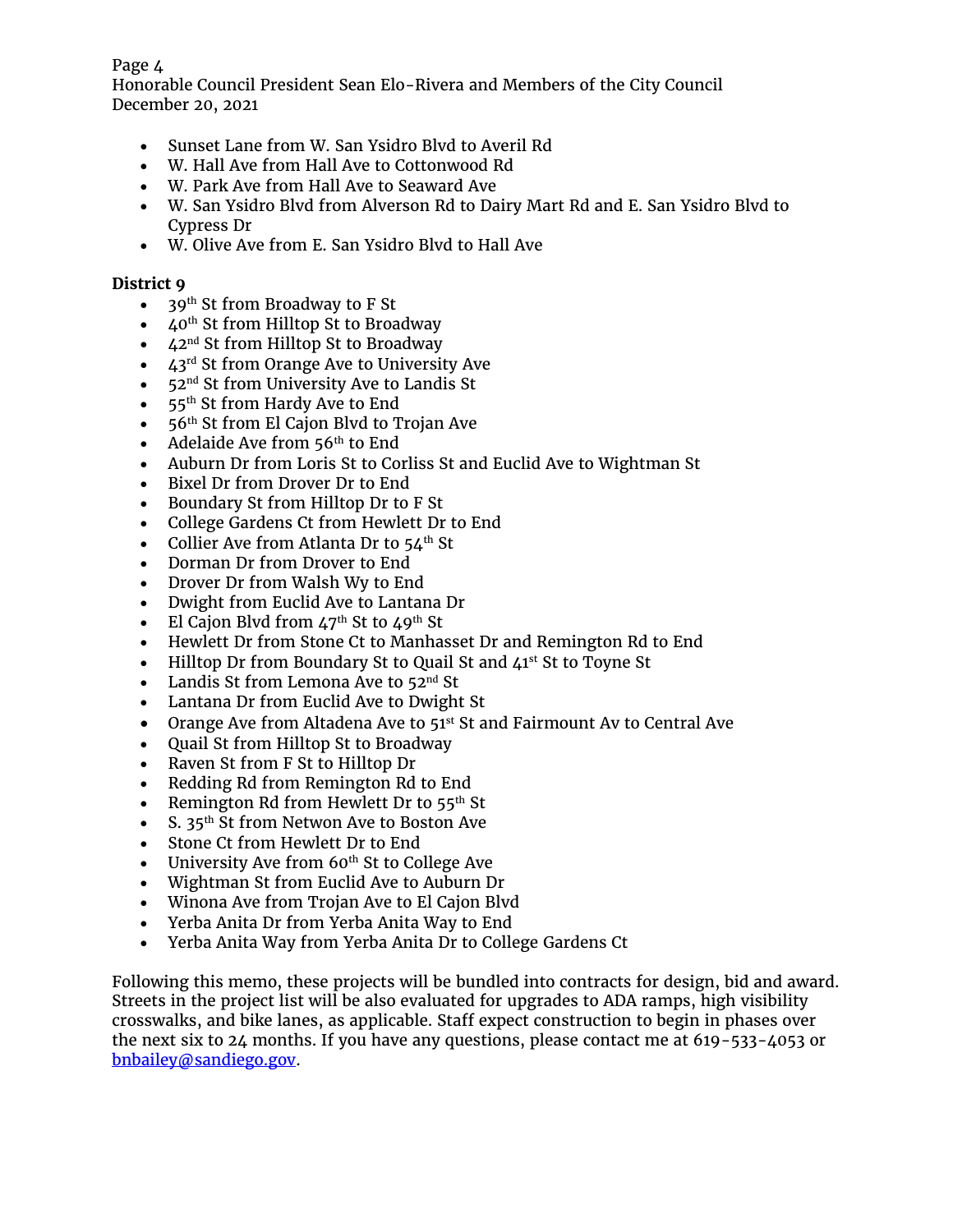#### Page 4

Honorable Council President Sean Elo-Rivera and Members of the City Council December 20, 2021

- Sunset Lane from W. San Ysidro Blvd to Averil Rd
- W. Hall Ave from Hall Ave to Cottonwood Rd
- W. Park Ave from Hall Ave to Seaward Ave
- W. San Ysidro Blvd from Alverson Rd to Dairy Mart Rd and E. San Ysidro Blvd to Cypress Dr
- W. Olive Ave from E. San Ysidro Blvd to Hall Ave

#### **District 9**

- 39<sup>th</sup> St from Broadway to F St
- $40<sup>th</sup>$  St from Hilltop St to Broadway
- $42<sup>nd</sup>$  St from Hilltop St to Broadway
- $43<sup>rd</sup>$  St from Orange Ave to University Ave
- $\bullet$  52<sup>nd</sup> St from University Ave to Landis St
- 55<sup>th</sup> St from Hardy Ave to End
- $\bullet$  56<sup>th</sup> St from El Cajon Blvd to Trojan Ave
- Adelaide Ave from  $56<sup>th</sup>$  to End
- Auburn Dr from Loris St to Corliss St and Euclid Ave to Wightman St
- Bixel Dr from Drover Dr to End
- Boundary St from Hilltop Dr to F St
- College Gardens Ct from Hewlett Dr to End
- Collier Ave from Atlanta Dr to  $54<sup>th</sup>$  St
- Dorman Dr from Drover to End
- Drover Dr from Walsh Wy to End
- Dwight from Euclid Ave to Lantana Dr
- El Cajon Blvd from  $47<sup>th</sup>$  St to  $49<sup>th</sup>$  St
- Hewlett Dr from Stone Ct to Manhasset Dr and Remington Rd to End
- Hilltop Dr from Boundary St to Quail St and 41<sup>st</sup> St to Toyne St
- Landis St from Lemona Ave to  $52<sup>nd</sup>$  St
- Lantana Dr from Euclid Ave to Dwight St
- Orange Ave from Altadena Ave to 51<sup>st</sup> St and Fairmount Av to Central Ave
- Quail St from Hilltop St to Broadway
- Raven St from F St to Hilltop Dr
- Redding Rd from Remington Rd to End
- Remington Rd from Hewlett Dr to  $55<sup>th</sup>$  St
- S.  $35<sup>th</sup>$  St from Netwon Ave to Boston Ave
- Stone Ct from Hewlett Dr to End
- University Ave from  $60<sup>th</sup>$  St to College Ave
- Wightman St from Euclid Ave to Auburn Dr
- Winona Ave from Trojan Ave to El Cajon Blvd
- Yerba Anita Dr from Yerba Anita Way to End
- Yerba Anita Way from Yerba Anita Dr to College Gardens Ct

Following this memo, these projects will be bundled into contracts for design, bid and award. Streets in the project list will be also evaluated for upgrades to ADA ramps, high visibility crosswalks, and bike lanes, as applicable. Staff expect construction to begin in phases over the next six to 24 months. If you have any questions, please contact me at 619-533-4053 or [bnbailey@sandiego.gov.](mailto:bnbailey@sandiego.gov)